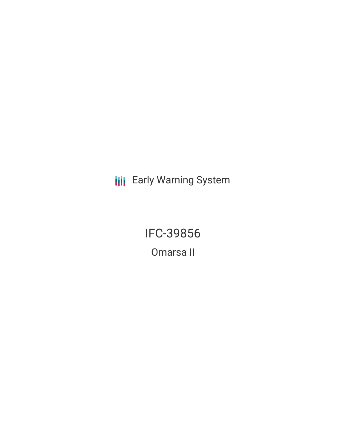**III** Early Warning System

IFC-39856 Omarsa II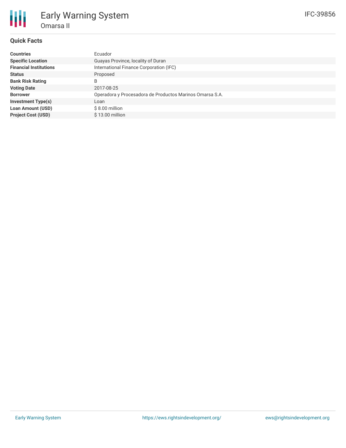# **Quick Facts**

| <b>Countries</b>              | Ecuador                                                  |
|-------------------------------|----------------------------------------------------------|
| <b>Specific Location</b>      | Guayas Province, locality of Duran                       |
| <b>Financial Institutions</b> | International Finance Corporation (IFC)                  |
| <b>Status</b>                 | Proposed                                                 |
| <b>Bank Risk Rating</b>       | B                                                        |
| <b>Voting Date</b>            | 2017-08-25                                               |
| <b>Borrower</b>               | Operadora y Procesadora de Productos Marinos Omarsa S.A. |
| <b>Investment Type(s)</b>     | Loan                                                     |
| <b>Loan Amount (USD)</b>      | $$8.00$ million                                          |
| <b>Project Cost (USD)</b>     | \$13.00 million                                          |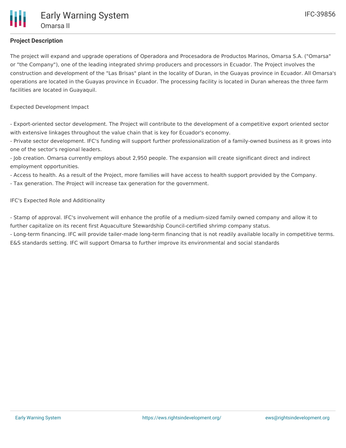# **Project Description**

The project will expand and upgrade operations of Operadora and Procesadora de Productos Marinos, Omarsa S.A. ("Omarsa" or "the Company"), one of the leading integrated shrimp producers and processors in Ecuador. The Project involves the construction and development of the "Las Brisas" plant in the locality of Duran, in the Guayas province in Ecuador. All Omarsa's operations are located in the Guayas province in Ecuador. The processing facility is located in Duran whereas the three farm facilities are located in Guayaquil.

Expected Development Impact

- Export-oriented sector development. The Project will contribute to the development of a competitive export oriented sector with extensive linkages throughout the value chain that is key for Ecuador's economy.

- Private sector development. IFC's funding will support further professionalization of a family-owned business as it grows into one of the sector's regional leaders.

- Job creation. Omarsa currently employs about 2,950 people. The expansion will create significant direct and indirect employment opportunities.

- Access to health. As a result of the Project, more families will have access to health support provided by the Company.

- Tax generation. The Project will increase tax generation for the government.

IFC's Expected Role and Additionality

- Stamp of approval. IFC's involvement will enhance the profile of a medium-sized family owned company and allow it to further capitalize on its recent first Aquaculture Stewardship Council-certified shrimp company status.

- Long-term financing. IFC will provide tailer-made long-term financing that is not readily available locally in competitive terms. E&S standards setting. IFC will support Omarsa to further improve its environmental and social standards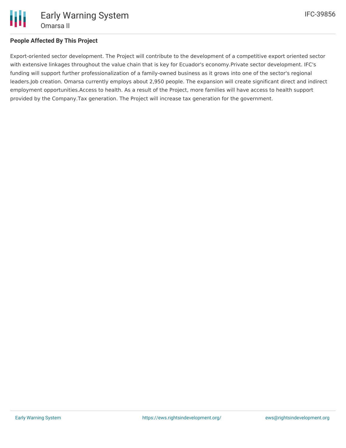

## **People Affected By This Project**

Export-oriented sector development. The Project will contribute to the development of a competitive export oriented sector with extensive linkages throughout the value chain that is key for Ecuador's economy.Private sector development. IFC's funding will support further professionalization of a family-owned business as it grows into one of the sector's regional leaders.Job creation. Omarsa currently employs about 2,950 people. The expansion will create significant direct and indirect employment opportunities.Access to health. As a result of the Project, more families will have access to health support provided by the Company.Tax generation. The Project will increase tax generation for the government.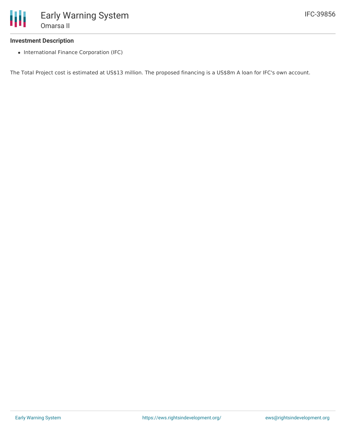#### **Investment Description**

• International Finance Corporation (IFC)

The Total Project cost is estimated at US\$13 million. The proposed financing is a US\$8m A loan for IFC's own account.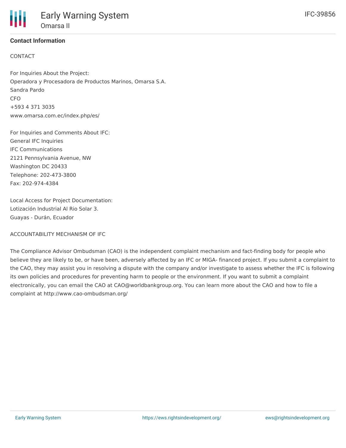### **Contact Information**

### CONTACT

For Inquiries About the Project: Operadora y Procesadora de Productos Marinos, Omarsa S.A. Sandra Pardo CFO +593 4 371 3035 www.omarsa.com.ec/index.php/es/

For Inquiries and Comments About IFC: General IFC Inquiries IFC Communications 2121 Pennsylvania Avenue, NW Washington DC 20433 Telephone: 202-473-3800 Fax: 202-974-4384

Local Access for Project Documentation: Lotización Industrial Al Rio Solar 3. Guayas - Durán, Ecuador

ACCOUNTABILITY MECHANISM OF IFC

The Compliance Advisor Ombudsman (CAO) is the independent complaint mechanism and fact-finding body for people who believe they are likely to be, or have been, adversely affected by an IFC or MIGA- financed project. If you submit a complaint to the CAO, they may assist you in resolving a dispute with the company and/or investigate to assess whether the IFC is following its own policies and procedures for preventing harm to people or the environment. If you want to submit a complaint electronically, you can email the CAO at CAO@worldbankgroup.org. You can learn more about the CAO and how to file a complaint at http://www.cao-ombudsman.org/